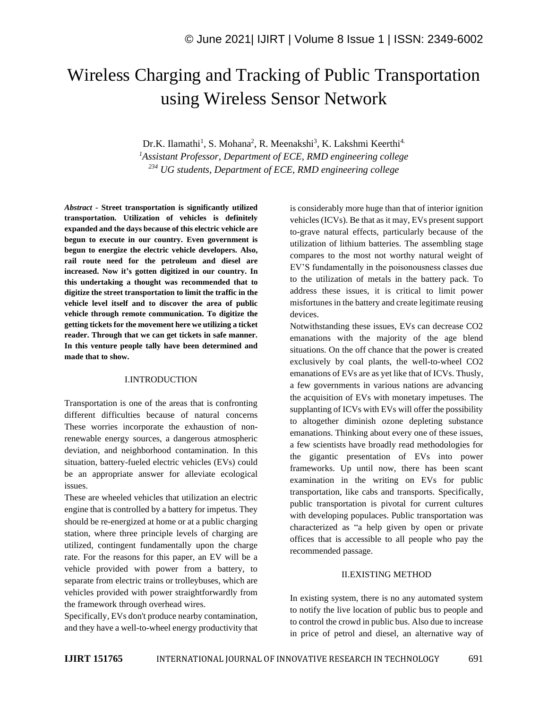# Wireless Charging and Tracking of Public Transportation using Wireless Sensor Network

Dr.K. Ilamathi<sup>1</sup>, S. Mohana<sup>2</sup>, R. Meenakshi<sup>3</sup>, K. Lakshmi Keerthi<sup>4.</sup> *<sup>1</sup>Assistant Professor, Department of ECE, RMD engineering college <sup>234</sup> UG students, Department of ECE, RMD engineering college*

*Abstract -* **Street transportation is significantly utilized transportation. Utilization of vehicles is definitely expanded and the days because of this electric vehicle are begun to execute in our country. Even government is begun to energize the electric vehicle developers. Also, rail route need for the petroleum and diesel are increased. Now it's gotten digitized in our country. In this undertaking a thought was recommended that to digitize the street transportation to limit the traffic in the vehicle level itself and to discover the area of public vehicle through remote communication. To digitize the getting tickets for the movement here we utilizing a ticket reader. Through that we can get tickets in safe manner. In this venture people tally have been determined and made that to show.**

#### I.INTRODUCTION

Transportation is one of the areas that is confronting different difficulties because of natural concerns These worries incorporate the exhaustion of nonrenewable energy sources, a dangerous atmospheric deviation, and neighborhood contamination. In this situation, battery-fueled electric vehicles (EVs) could be an appropriate answer for alleviate ecological issues.

These are wheeled vehicles that utilization an electric engine that is controlled by a battery for impetus. They should be re-energized at home or at a public charging station, where three principle levels of charging are utilized, contingent fundamentally upon the charge rate. For the reasons for this paper, an EV will be a vehicle provided with power from a battery, to separate from electric trains or trolleybuses, which are vehicles provided with power straightforwardly from the framework through overhead wires.

Specifically, EVs don't produce nearby contamination, and they have a well-to-wheel energy productivity that is considerably more huge than that of interior ignition vehicles (ICVs). Be that as it may, EVs present support to-grave natural effects, particularly because of the utilization of lithium batteries. The assembling stage compares to the most not worthy natural weight of EV'S fundamentally in the poisonousness classes due to the utilization of metals in the battery pack. To address these issues, it is critical to limit power misfortunes in the battery and create legitimate reusing devices.

Notwithstanding these issues, EVs can decrease CO2 emanations with the majority of the age blend situations. On the off chance that the power is created exclusively by coal plants, the well-to-wheel CO2 emanations of EVs are as yet like that of ICVs. Thusly, a few governments in various nations are advancing the acquisition of EVs with monetary impetuses. The supplanting of ICVs with EVs will offer the possibility to altogether diminish ozone depleting substance emanations. Thinking about every one of these issues, a few scientists have broadly read methodologies for the gigantic presentation of EVs into power frameworks. Up until now, there has been scant examination in the writing on EVs for public transportation, like cabs and transports. Specifically, public transportation is pivotal for current cultures with developing populaces. Public transportation was characterized as "a help given by open or private offices that is accessible to all people who pay the recommended passage.

#### II.EXISTING METHOD

In existing system, there is no any automated system to notify the live location of public bus to people and to control the crowd in public bus. Also due to increase in price of petrol and diesel, an alternative way of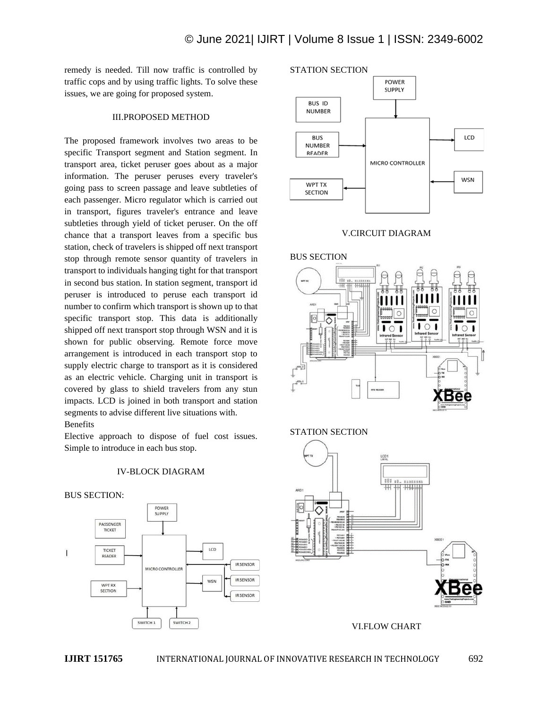remedy is needed. Till now traffic is controlled by traffic cops and by using traffic lights. To solve these issues, we are going for proposed system.

#### III.PROPOSED METHOD

The proposed framework involves two areas to be specific Transport segment and Station segment. In transport area, ticket peruser goes about as a major information. The peruser peruses every traveler's going pass to screen passage and leave subtleties of each passenger. Micro regulator which is carried out in transport, figures traveler's entrance and leave subtleties through yield of ticket peruser. On the off chance that a transport leaves from a specific bus station, check of travelers is shipped off next transport stop through remote sensor quantity of travelers in transport to individuals hanging tight for that transport in second bus station. In station segment, transport id peruser is introduced to peruse each transport id number to confirm which transport is shown up to that specific transport stop. This data is additionally shipped off next transport stop through WSN and it is shown for public observing. Remote force move arrangement is introduced in each transport stop to supply electric charge to transport as it is considered as an electric vehicle. Charging unit in transport is covered by glass to shield travelers from any stun impacts. LCD is joined in both transport and station segments to advise different live situations with. Benefits

Elective approach to dispose of fuel cost issues. Simple to introduce in each bus stop.

#### IV-BLOCK DIAGRAM







#### V.CIRCUIT DIAGRAM







VI.FLOW CHART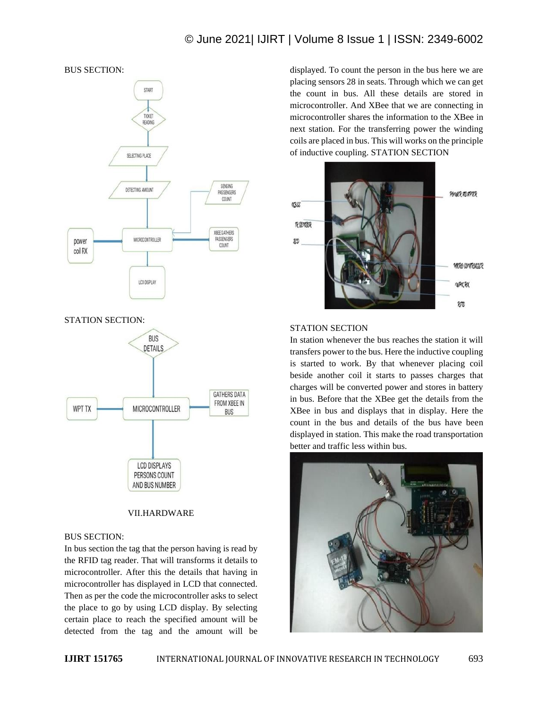# © June 2021| IJIRT | Volume 8 Issue 1 | ISSN: 2349-6002



### VII.HARDWARE

**LCD DISPLAYS** PERSONS COUNT AND BUS NUMBER

#### BUS SECTION:

In bus section the tag that the person having is read by the RFID tag reader. That will transforms it details to microcontroller. After this the details that having in microcontroller has displayed in LCD that connected. Then as per the code the microcontroller asks to select the place to go by using LCD display. By selecting certain place to reach the specified amount will be detected from the tag and the amount will be

displayed. To count the person in the bus here we are placing sensors 28 in seats. Through which we can get the count in bus. All these details are stored in microcontroller. And XBee that we are connecting in microcontroller shares the information to the XBee in next station. For the transferring power the winding coils are placed in bus. This will works on the principle of inductive coupling. STATION SECTION



#### STATION SECTION

In station whenever the bus reaches the station it will transfers power to the bus. Here the inductive coupling is started to work. By that whenever placing coil beside another coil it starts to passes charges that charges will be converted power and stores in battery in bus. Before that the XBee get the details from the XBee in bus and displays that in display. Here the count in the bus and details of the bus have been displayed in station. This make the road transportation better and traffic less within bus.

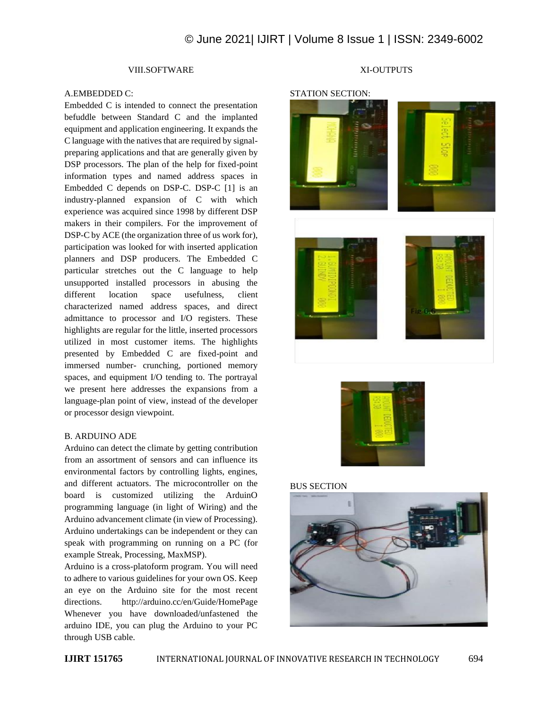# © June 2021| IJIRT | Volume 8 Issue 1 | ISSN: 2349-6002

## VIII.SOFTWARE

#### A.EMBEDDED C:

Embedded C is intended to connect the presentation befuddle between Standard C and the implanted equipment and application engineering. It expands the C language with the natives that are required by signalpreparing applications and that are generally given by DSP processors. The plan of the help for fixed-point information types and named address spaces in Embedded C depends on DSP-C. DSP-C [1] is an industry-planned expansion of C with which experience was acquired since 1998 by different DSP makers in their compilers. For the improvement of DSP-C by ACE (the organization three of us work for), participation was looked for with inserted application planners and DSP producers. The Embedded C particular stretches out the C language to help unsupported installed processors in abusing the different location space usefulness, client characterized named address spaces, and direct admittance to processor and I/O registers. These highlights are regular for the little, inserted processors utilized in most customer items. The highlights presented by Embedded C are fixed-point and immersed number- crunching, portioned memory spaces, and equipment I/O tending to. The portrayal we present here addresses the expansions from a language-plan point of view, instead of the developer or processor design viewpoint.

#### B. ARDUINO ADE

Arduino can detect the climate by getting contribution from an assortment of sensors and can influence its environmental factors by controlling lights, engines, and different actuators. The microcontroller on the board is customized utilizing the ArduinO programming language (in light of Wiring) and the Arduino advancement climate (in view of Processing). Arduino undertakings can be independent or they can speak with programming on running on a PC (for example Streak, Processing, MaxMSP).

Arduino is a cross-platoform program. You will need to adhere to various guidelines for your own OS. Keep an eye on the Arduino site for the most recent directions. http://arduino.cc/en/Guide/HomePage Whenever you have downloaded/unfastened the arduino IDE, you can plug the Arduino to your PC through USB cable.

## XI-OUTPUTS





#### BUS SECTION

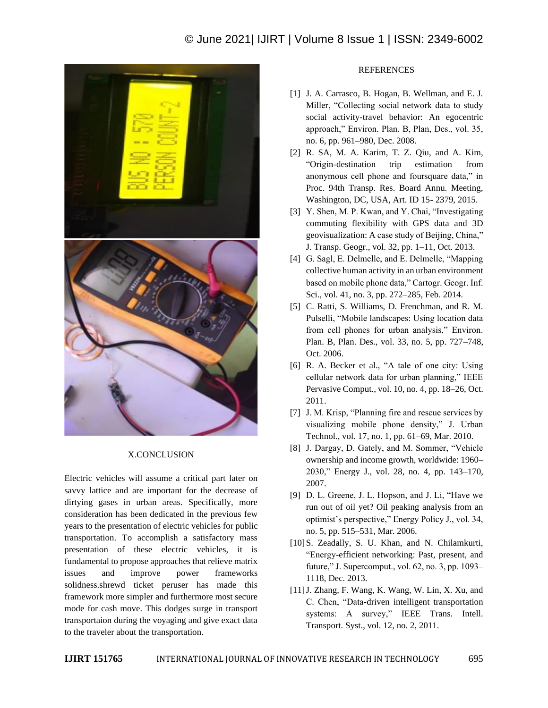

#### X.CONCLUSION

Electric vehicles will assume a critical part later on savvy lattice and are important for the decrease of dirtying gases in urban areas. Specifically, more consideration has been dedicated in the previous few years to the presentation of electric vehicles for public transportation. To accomplish a satisfactory mass presentation of these electric vehicles, it is fundamental to propose approaches that relieve matrix issues and improve power frameworks solidness.shrewd ticket peruser has made this framework more simpler and furthermore most secure mode for cash move. This dodges surge in transport transportaion during the voyaging and give exact data to the traveler about the transportation.

#### **REFERENCES**

- [1] J. A. Carrasco, B. Hogan, B. Wellman, and E. J. Miller, "Collecting social network data to study social activity-travel behavior: An egocentric approach," Environ. Plan. B, Plan, Des., vol. 35, no. 6, pp. 961–980, Dec. 2008.
- [2] R. SA, M. A. Karim, T. Z. Qiu, and A. Kim, "Origin-destination trip estimation from anonymous cell phone and foursquare data," in Proc. 94th Transp. Res. Board Annu. Meeting, Washington, DC, USA, Art. ID 15- 2379, 2015.
- [3] Y. Shen, M. P. Kwan, and Y. Chai, "Investigating commuting flexibility with GPS data and 3D geovisualization: A case study of Beijing, China," J. Transp. Geogr., vol. 32, pp. 1–11, Oct. 2013.
- [4] G. Sagl, E. Delmelle, and E. Delmelle, "Mapping collective human activity in an urban environment based on mobile phone data," Cartogr. Geogr. Inf. Sci., vol. 41, no. 3, pp. 272–285, Feb. 2014.
- [5] C. Ratti, S. Williams, D. Frenchman, and R. M. Pulselli, "Mobile landscapes: Using location data from cell phones for urban analysis," Environ. Plan. B, Plan. Des., vol. 33, no. 5, pp. 727–748, Oct. 2006.
- [6] R. A. Becker et al., "A tale of one city: Using cellular network data for urban planning," IEEE Pervasive Comput., vol. 10, no. 4, pp. 18–26, Oct. 2011.
- [7] J. M. Krisp, "Planning fire and rescue services by visualizing mobile phone density," J. Urban Technol., vol. 17, no. 1, pp. 61–69, Mar. 2010.
- [8] J. Dargay, D. Gately, and M. Sommer, "Vehicle ownership and income growth, worldwide: 1960– 2030," Energy J., vol. 28, no. 4, pp. 143–170, 2007.
- [9] D. L. Greene, J. L. Hopson, and J. Li, "Have we run out of oil yet? Oil peaking analysis from an optimist's perspective," Energy Policy J., vol. 34, no. 5, pp. 515–531, Mar. 2006.
- [10] S. Zeadally, S. U. Khan, and N. Chilamkurti, "Energy-efficient networking: Past, present, and future," J. Supercomput., vol. 62, no. 3, pp. 1093– 1118, Dec. 2013.
- [11]J. Zhang, F. Wang, K. Wang, W. Lin, X. Xu, and C. Chen, "Data-driven intelligent transportation systems: A survey," IEEE Trans. Intell. Transport. Syst., vol. 12, no. 2, 2011.